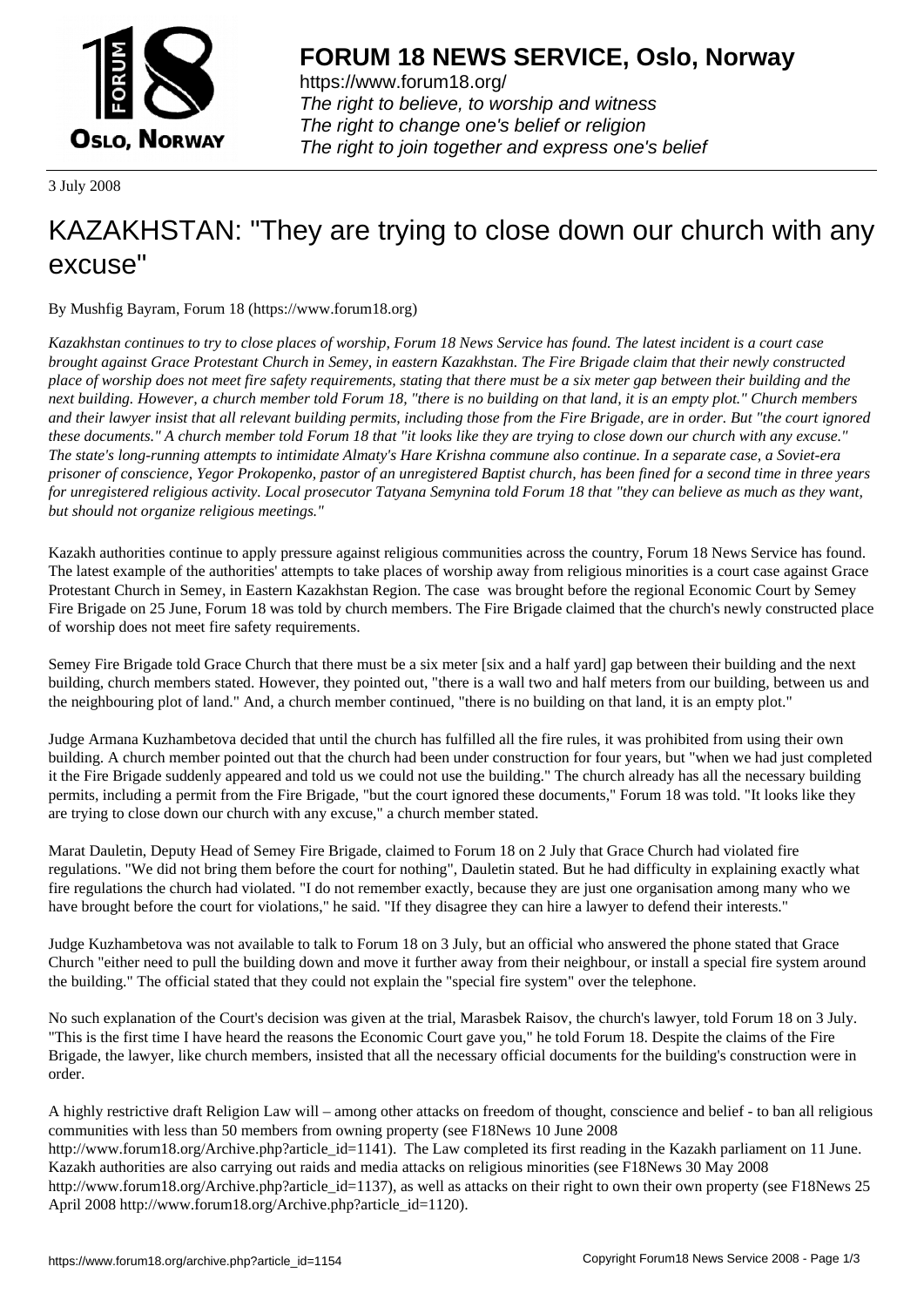

https://www.forum18.org/ The right to believe, to worship and witness The right to change one's belief or religion [The right to join together a](https://www.forum18.org/)nd express one's belief

3 July 2008

## [KAZAKHSTAN:](https://www.forum18.org) "They are trying to close down our church with any excuse"

By Mushfig Bayram, Forum 18 (https://www.forum18.org)

*Kazakhstan continues to try to close places of worship, Forum 18 News Service has found. The latest incident is a court case brought against Grace Protestant Church in Semey, in eastern Kazakhstan. The Fire Brigade claim that their newly constructed place of worship does not meet fire safety requirements, stating that there must be a six meter gap between their building and the next building. However, a church member told Forum 18, "there is no building on that land, it is an empty plot." Church members and their lawyer insist that all relevant building permits, including those from the Fire Brigade, are in order. But "the court ignored these documents." A church member told Forum 18 that "it looks like they are trying to close down our church with any excuse." The state's long-running attempts to intimidate Almaty's Hare Krishna commune also continue. In a separate case, a Soviet-era prisoner of conscience, Yegor Prokopenko, pastor of an unregistered Baptist church, has been fined for a second time in three years for unregistered religious activity. Local prosecutor Tatyana Semynina told Forum 18 that "they can believe as much as they want, but should not organize religious meetings."*

Kazakh authorities continue to apply pressure against religious communities across the country, Forum 18 News Service has found. The latest example of the authorities' attempts to take places of worship away from religious minorities is a court case against Grace Protestant Church in Semey, in Eastern Kazakhstan Region. The case was brought before the regional Economic Court by Semey Fire Brigade on 25 June, Forum 18 was told by church members. The Fire Brigade claimed that the church's newly constructed place of worship does not meet fire safety requirements.

Semey Fire Brigade told Grace Church that there must be a six meter [six and a half yard] gap between their building and the next building, church members stated. However, they pointed out, "there is a wall two and half meters from our building, between us and the neighbouring plot of land." And, a church member continued, "there is no building on that land, it is an empty plot."

Judge Armana Kuzhambetova decided that until the church has fulfilled all the fire rules, it was prohibited from using their own building. A church member pointed out that the church had been under construction for four years, but "when we had just completed it the Fire Brigade suddenly appeared and told us we could not use the building." The church already has all the necessary building permits, including a permit from the Fire Brigade, "but the court ignored these documents," Forum 18 was told. "It looks like they are trying to close down our church with any excuse," a church member stated.

Marat Dauletin, Deputy Head of Semey Fire Brigade, claimed to Forum 18 on 2 July that Grace Church had violated fire regulations. "We did not bring them before the court for nothing", Dauletin stated. But he had difficulty in explaining exactly what fire regulations the church had violated. "I do not remember exactly, because they are just one organisation among many who we have brought before the court for violations," he said. "If they disagree they can hire a lawyer to defend their interests."

Judge Kuzhambetova was not available to talk to Forum 18 on 3 July, but an official who answered the phone stated that Grace Church "either need to pull the building down and move it further away from their neighbour, or install a special fire system around the building." The official stated that they could not explain the "special fire system" over the telephone.

No such explanation of the Court's decision was given at the trial, Marasbek Raisov, the church's lawyer, told Forum 18 on 3 July. "This is the first time I have heard the reasons the Economic Court gave you," he told Forum 18. Despite the claims of the Fire Brigade, the lawyer, like church members, insisted that all the necessary official documents for the building's construction were in order.

A highly restrictive draft Religion Law will – among other attacks on freedom of thought, conscience and belief - to ban all religious communities with less than 50 members from owning property (see F18News 10 June 2008 http://www.forum18.org/Archive.php?article\_id=1141). The Law completed its first reading in the Kazakh parliament on 11 June. Kazakh authorities are also carrying out raids and media attacks on religious minorities (see F18News 30 May 2008 http://www.forum18.org/Archive.php?article\_id=1137), as well as attacks on their right to own their own property (see F18News 25 April 2008 http://www.forum18.org/Archive.php?article\_id=1120).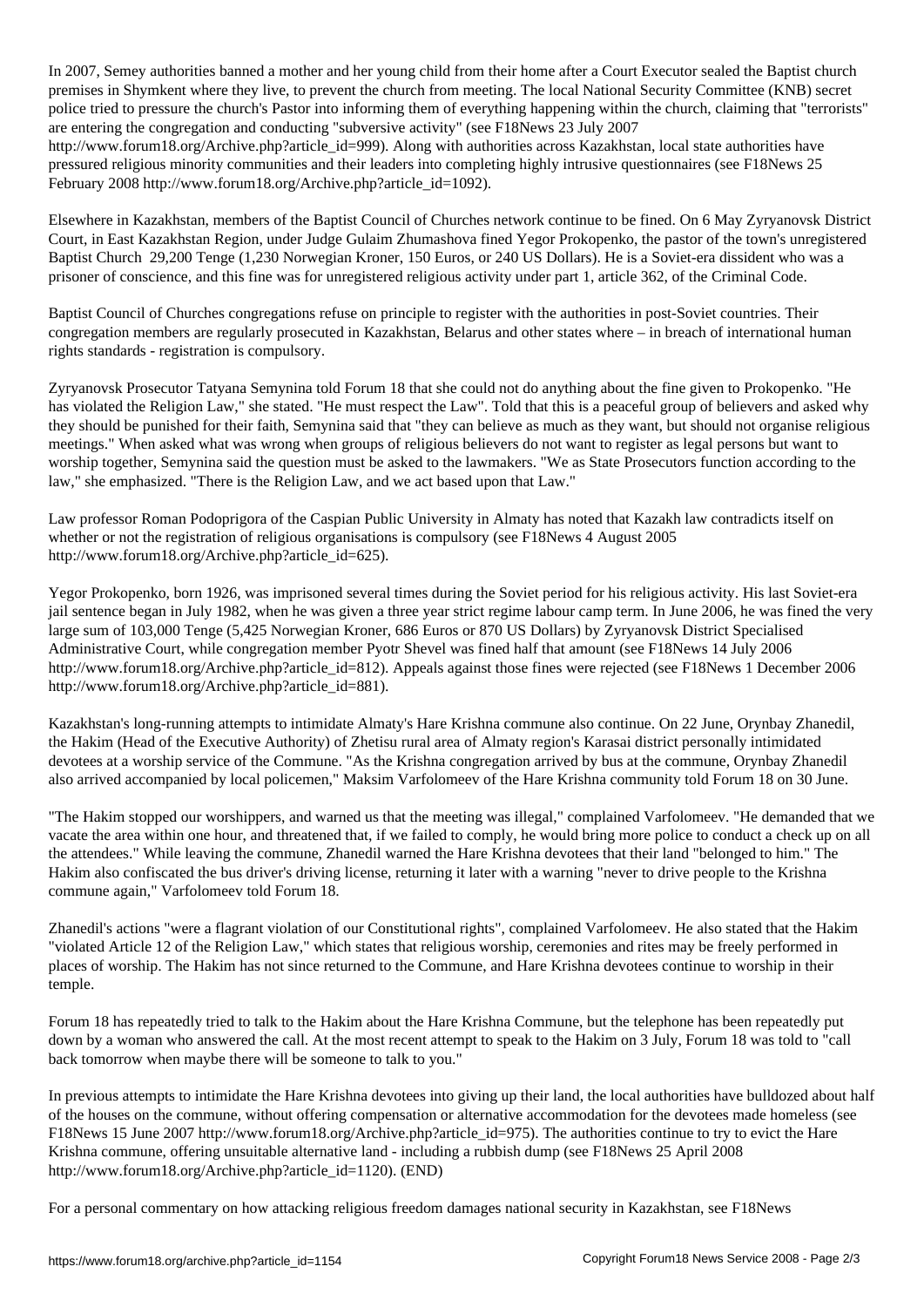In 2007, Semey authorities banned a mother and her young child from their home after a Court Executor sealed the Baptist church premises in Shymkent where they live, to prevent the church from meeting. The local National Security Committee (KNB) secret police tried to pressure the church's Pastor into informing them of everything happening within the church, claiming that "terrorists" are entering the congregation and conducting "subversive activity" (see F18News 23 July 2007 http://www.forum18.org/Archive.php?article\_id=999). Along with authorities across Kazakhstan, local state authorities have pressured religious minority communities and their leaders into completing highly intrusive questionnaires (see F18News 25 February 2008 http://www.forum18.org/Archive.php?article\_id=1092).

Elsewhere in Kazakhstan, members of the Baptist Council of Churches network continue to be fined. On 6 May Zyryanovsk District Court, in East Kazakhstan Region, under Judge Gulaim Zhumashova fined Yegor Prokopenko, the pastor of the town's unregistered Baptist Church 29,200 Tenge (1,230 Norwegian Kroner, 150 Euros, or 240 US Dollars). He is a Soviet-era dissident who was a prisoner of conscience, and this fine was for unregistered religious activity under part 1, article 362, of the Criminal Code.

Baptist Council of Churches congregations refuse on principle to register with the authorities in post-Soviet countries. Their congregation members are regularly prosecuted in Kazakhstan, Belarus and other states where – in breach of international human rights standards - registration is compulsory.

Zyryanovsk Prosecutor Tatyana Semynina told Forum 18 that she could not do anything about the fine given to Prokopenko. "He has violated the Religion Law," she stated. "He must respect the Law". Told that this is a peaceful group of believers and asked why they should be punished for their faith, Semynina said that "they can believe as much as they want, but should not organise religious meetings." When asked what was wrong when groups of religious believers do not want to register as legal persons but want to worship together, Semynina said the question must be asked to the lawmakers. "We as State Prosecutors function according to the law," she emphasized. "There is the Religion Law, and we act based upon that Law."

Law professor Roman Podoprigora of the Caspian Public University in Almaty has noted that Kazakh law contradicts itself on whether or not the registration of religious organisations is compulsory (see F18News 4 August 2005 http://www.forum18.org/Archive.php?article\_id=625).

Yegor Prokopenko, born 1926, was imprisoned several times during the Soviet period for his religious activity. His last Soviet-era jail sentence began in July 1982, when he was given a three year strict regime labour camp term. In June 2006, he was fined the very large sum of 103,000 Tenge (5,425 Norwegian Kroner, 686 Euros or 870 US Dollars) by Zyryanovsk District Specialised Administrative Court, while congregation member Pyotr Shevel was fined half that amount (see F18News 14 July 2006 http://www.forum18.org/Archive.php?article\_id=812). Appeals against those fines were rejected (see F18News 1 December 2006 http://www.forum18.org/Archive.php?article\_id=881).

Kazakhstan's long-running attempts to intimidate Almaty's Hare Krishna commune also continue. On 22 June, Orynbay Zhanedil, the Hakim (Head of the Executive Authority) of Zhetisu rural area of Almaty region's Karasai district personally intimidated devotees at a worship service of the Commune. "As the Krishna congregation arrived by bus at the commune, Orynbay Zhanedil also arrived accompanied by local policemen," Maksim Varfolomeev of the Hare Krishna community told Forum 18 on 30 June.

"The Hakim stopped our worshippers, and warned us that the meeting was illegal," complained Varfolomeev. "He demanded that we vacate the area within one hour, and threatened that, if we failed to comply, he would bring more police to conduct a check up on all the attendees." While leaving the commune, Zhanedil warned the Hare Krishna devotees that their land "belonged to him." The Hakim also confiscated the bus driver's driving license, returning it later with a warning "never to drive people to the Krishna commune again," Varfolomeev told Forum 18.

Zhanedil's actions "were a flagrant violation of our Constitutional rights", complained Varfolomeev. He also stated that the Hakim "violated Article 12 of the Religion Law," which states that religious worship, ceremonies and rites may be freely performed in places of worship. The Hakim has not since returned to the Commune, and Hare Krishna devotees continue to worship in their temple.

Forum 18 has repeatedly tried to talk to the Hakim about the Hare Krishna Commune, but the telephone has been repeatedly put down by a woman who answered the call. At the most recent attempt to speak to the Hakim on 3 July, Forum 18 was told to "call back tomorrow when maybe there will be someone to talk to you."

In previous attempts to intimidate the Hare Krishna devotees into giving up their land, the local authorities have bulldozed about half of the houses on the commune, without offering compensation or alternative accommodation for the devotees made homeless (see F18News 15 June 2007 http://www.forum18.org/Archive.php?article\_id=975). The authorities continue to try to evict the Hare Krishna commune, offering unsuitable alternative land - including a rubbish dump (see F18News 25 April 2008 http://www.forum18.org/Archive.php?article\_id=1120). (END)

For a personal commentary on how attacking religious freedom damages national security in Kazakhstan, see F18News